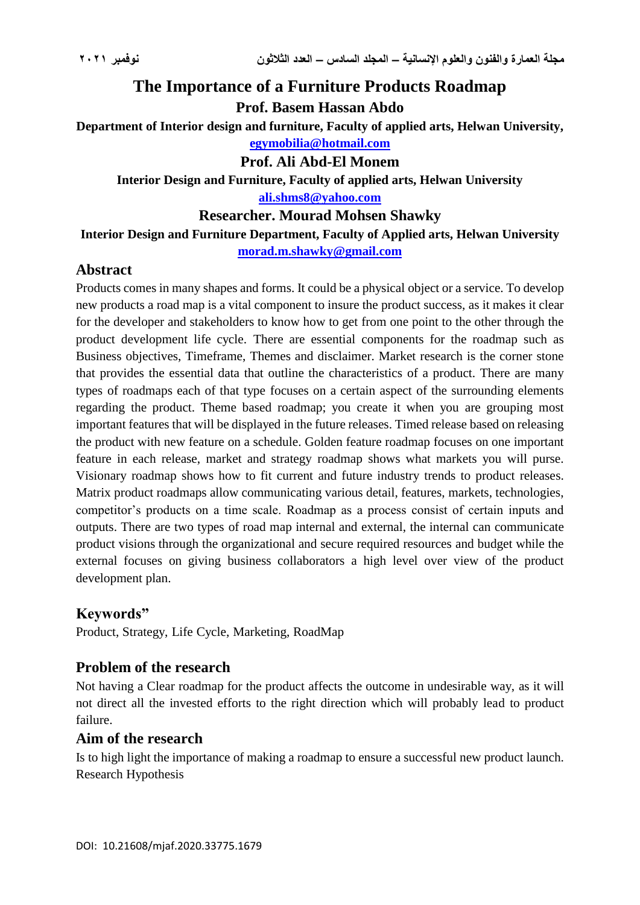# **The Importance of a Furniture Products Roadmap**

**Prof. Basem Hassan Abdo**

**Department of Interior design and furniture, Faculty of applied arts, Helwan University, [egymobilia@hotmail.com](mailto:egymobilia@hotmail.com)**

**Prof. Ali Abd-El Monem**

# **Interior Design and Furniture, Faculty of applied arts, Helwan University [ali.shms8@yahoo.com](mailto:ali.shms8@yahoo.com)**

**Researcher. Mourad Mohsen Shawky**

**Interior Design and Furniture Department, Faculty of Applied arts, Helwan University**

**[morad.m.shawky@gmail.com](mailto:morad.m.shawky@gmail.com)**

# **Abstract**

Products comes in many shapes and forms. It could be a physical object or a service. To develop new products a road map is a vital component to insure the product success, as it makes it clear for the developer and stakeholders to know how to get from one point to the other through the product development life cycle. There are essential components for the roadmap such as Business objectives, Timeframe, Themes and disclaimer. Market research is the corner stone that provides the essential data that outline the characteristics of a product. There are many types of roadmaps each of that type focuses on a certain aspect of the surrounding elements regarding the product. Theme based roadmap; you create it when you are grouping most important features that will be displayed in the future releases. Timed release based on releasing the product with new feature on a schedule. Golden feature roadmap focuses on one important feature in each release, market and strategy roadmap shows what markets you will purse. Visionary roadmap shows how to fit current and future industry trends to product releases. Matrix product roadmaps allow communicating various detail, features, markets, technologies, competitor's products on a time scale. Roadmap as a process consist of certain inputs and outputs. There are two types of road map internal and external, the internal can communicate product visions through the organizational and secure required resources and budget while the external focuses on giving business collaborators a high level over view of the product development plan.

# **Keywords"**

Product, Strategy, Life Cycle, Marketing, RoadMap

# **Problem of the research**

Not having a Clear roadmap for the product affects the outcome in undesirable way, as it will not direct all the invested efforts to the right direction which will probably lead to product failure.

## **Aim of the research**

Is to high light the importance of making a roadmap to ensure a successful new product launch. Research Hypothesis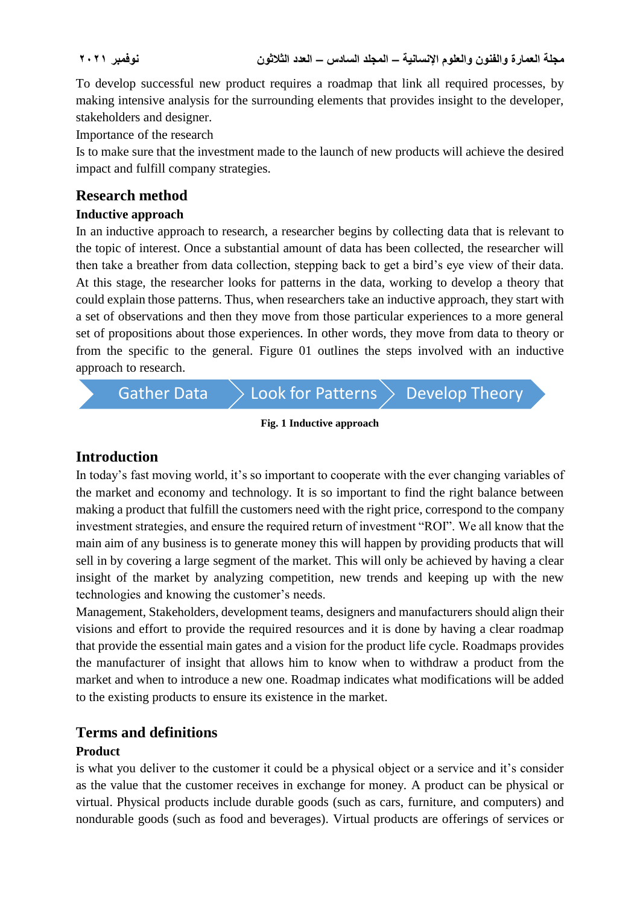To develop successful new product requires a roadmap that link all required processes, by making intensive analysis for the surrounding elements that provides insight to the developer, stakeholders and designer.

Importance of the research

Is to make sure that the investment made to the launch of new products will achieve the desired impact and fulfill company strategies.

## **Research method**

### **Inductive approach**

In an inductive approach to research, a researcher begins by collecting data that is relevant to the topic of interest. Once a substantial amount of data has been collected, the researcher will then take a breather from data collection, stepping back to get a bird's eye view of their data. At this stage, the researcher looks for patterns in the data, working to develop a theory that could explain those patterns. Thus, when researchers take an inductive approach, they start with a set of observations and then they move from those particular experiences to a more general set of propositions about those experiences. In other words, they move from data to theory or from the specific to the general. Figure 01 outlines the steps involved with an inductive approach to research.



#### **Fig. 1 Inductive approach**

## **Introduction**

In today's fast moving world, it's so important to cooperate with the ever changing variables of the market and economy and technology. It is so important to find the right balance between making a product that fulfill the customers need with the right price, correspond to the company investment strategies, and ensure the required return of investment "ROI". We all know that the main aim of any business is to generate money this will happen by providing products that will sell in by covering a large segment of the market. This will only be achieved by having a clear insight of the market by analyzing competition, new trends and keeping up with the new technologies and knowing the customer's needs.

Management, Stakeholders, development teams, designers and manufacturers should align their visions and effort to provide the required resources and it is done by having a clear roadmap that provide the essential main gates and a vision for the product life cycle. Roadmaps provides the manufacturer of insight that allows him to know when to withdraw a product from the market and when to introduce a new one. Roadmap indicates what modifications will be added to the existing products to ensure its existence in the market.

# **Terms and definitions**

## **Product**

is what you deliver to the customer it could be a physical object or a service and it's consider as the value that the customer receives in exchange for money. A product can be physical or virtual. Physical products include durable goods (such as cars, furniture, and computers) and nondurable goods (such as food and beverages). Virtual products are offerings of services or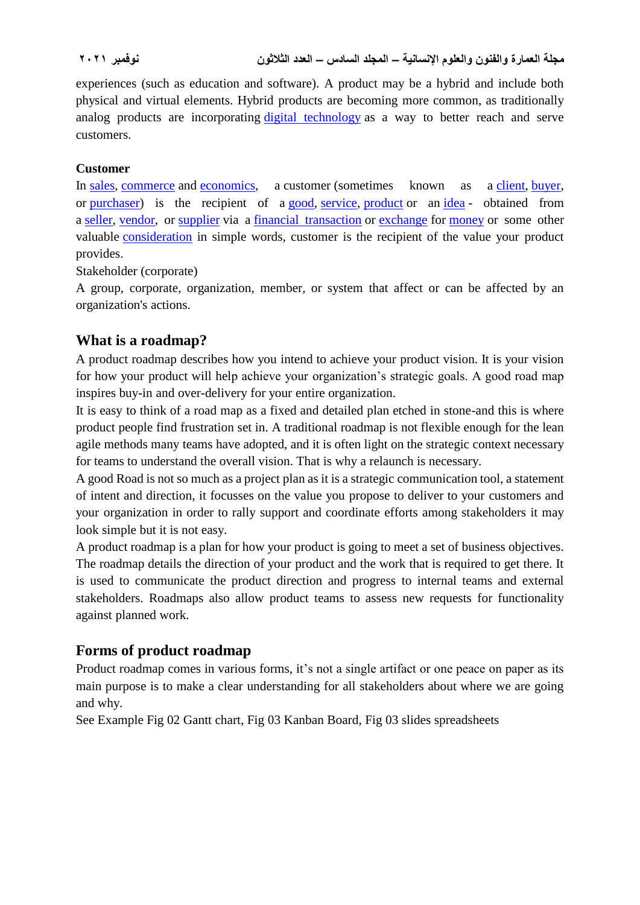experiences (such as education and software). A product may be a hybrid and include both physical and virtual elements. Hybrid products are becoming more common, as traditionally analog products are incorporating [digital technology](https://www.aha.io/roadmapping/guide/enterprise-transformation/what-is-digital-transformation) as a way to better reach and serve customers.

## **Customer**

In [sales,](https://en.wikipedia.org/wiki/Sales) [commerce](https://en.wikipedia.org/wiki/Commerce) and [economics,](https://en.wikipedia.org/wiki/Economics) a customer (sometimes known as a [client,](https://en.wiktionary.org/wiki/client) [buyer,](https://en.wikipedia.org/wiki/Buyer) or [purchaser\)](https://en.wikipedia.org/wiki/Purchasing) is the recipient of a [good,](https://en.wikipedia.org/wiki/Good_(economics)) [service,](https://en.wikipedia.org/wiki/Service_(economics)) [product](https://en.wikipedia.org/wiki/Product_(business)) or an [idea](https://en.wikipedia.org/wiki/Intellectual_property) - obtained from a [seller,](https://en.wikipedia.org/wiki/Seller) [vendor,](https://en.wikipedia.org/wiki/Vendor) or [supplier](https://en.wikipedia.org/wiki/Distribution_(business)) via a [financial transaction](https://en.wikipedia.org/wiki/Financial_transaction) or [exchange](https://en.wikipedia.org/wiki/Exchange_(economics)) for [money](https://en.wikipedia.org/wiki/Money) or some other valuable [consideration](https://en.wikipedia.org/wiki/Consideration) in simple words, customer is the recipient of the value your product provides.

### Stakeholder (corporate)

A group, corporate, organization, member, or system that affect or can be affected by an organization's actions.

# **What is a roadmap?**

A product roadmap describes how you intend to achieve your product vision. It is your vision for how your product will help achieve your organization's strategic goals. A good road map inspires buy-in and over-delivery for your entire organization.

It is easy to think of a road map as a fixed and detailed plan etched in stone-and this is where product people find frustration set in. A traditional roadmap is not flexible enough for the lean agile methods many teams have adopted, and it is often light on the strategic context necessary for teams to understand the overall vision. That is why a relaunch is necessary.

A good Road is not so much as a project plan as it is a strategic communication tool, a statement of intent and direction, it focusses on the value you propose to deliver to your customers and your organization in order to rally support and coordinate efforts among stakeholders it may look simple but it is not easy.

A product roadmap is a plan for how your product is going to meet a set of business objectives. The roadmap details the direction of your product and the work that is required to get there. It is used to communicate the product direction and progress to internal teams and external stakeholders. Roadmaps also allow product teams to assess new requests for functionality against planned work.

# **Forms of product roadmap**

Product roadmap comes in various forms, it's not a single artifact or one peace on paper as its main purpose is to make a clear understanding for all stakeholders about where we are going and why.

See Example Fig 02 Gantt chart, Fig 03 Kanban Board, Fig 03 slides spreadsheets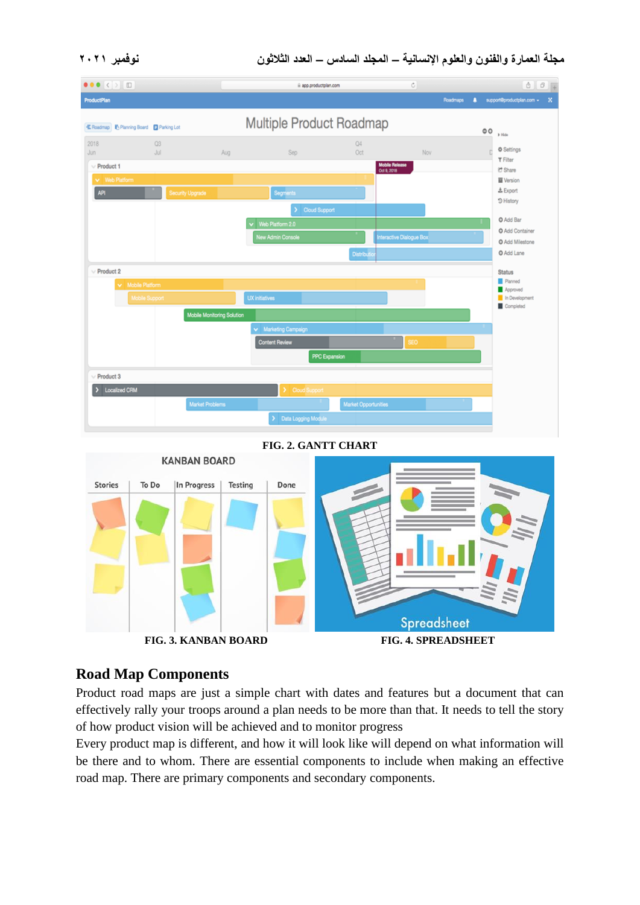**مجلة العمارة والفنون والعلوم اإلنسانية – المجلد السادس – العدد الثالثون نوفمبر 2021**



**FIG. 2. GANTT CHART**



## **Road Map Components**

Product road maps are just a simple chart with dates and features but a document that can effectively rally your troops around a plan needs to be more than that. It needs to tell the story of how product vision will be achieved and to monitor progress

Every product map is different, and how it will look like will depend on what information will be there and to whom. There are essential components to include when making an effective road map. There are primary components and secondary components.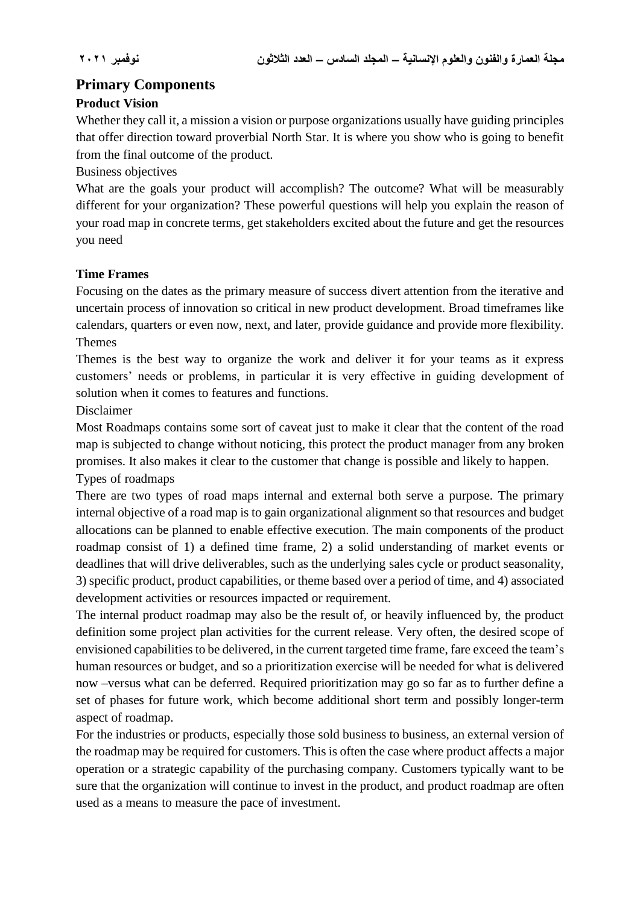# **Primary Components**

## **Product Vision**

Whether they call it, a mission a vision or purpose organizations usually have guiding principles that offer direction toward proverbial North Star. It is where you show who is going to benefit from the final outcome of the product.

Business objectives

What are the goals your product will accomplish? The outcome? What will be measurably different for your organization? These powerful questions will help you explain the reason of your road map in concrete terms, get stakeholders excited about the future and get the resources you need

## **Time Frames**

Focusing on the dates as the primary measure of success divert attention from the iterative and uncertain process of innovation so critical in new product development. Broad timeframes like calendars, quarters or even now, next, and later, provide guidance and provide more flexibility. Themes

Themes is the best way to organize the work and deliver it for your teams as it express customers' needs or problems, in particular it is very effective in guiding development of solution when it comes to features and functions.

Disclaimer

Most Roadmaps contains some sort of caveat just to make it clear that the content of the road map is subjected to change without noticing, this protect the product manager from any broken promises. It also makes it clear to the customer that change is possible and likely to happen. Types of roadmaps

There are two types of road maps internal and external both serve a purpose. The primary internal objective of a road map is to gain organizational alignment so that resources and budget allocations can be planned to enable effective execution. The main components of the product roadmap consist of 1) a defined time frame, 2) a solid understanding of market events or deadlines that will drive deliverables, such as the underlying sales cycle or product seasonality, 3) specific product, product capabilities, or theme based over a period of time, and 4) associated development activities or resources impacted or requirement.

The internal product roadmap may also be the result of, or heavily influenced by, the product definition some project plan activities for the current release. Very often, the desired scope of envisioned capabilities to be delivered, in the current targeted time frame, fare exceed the team's human resources or budget, and so a prioritization exercise will be needed for what is delivered now –versus what can be deferred. Required prioritization may go so far as to further define a set of phases for future work, which become additional short term and possibly longer-term aspect of roadmap.

For the industries or products, especially those sold business to business, an external version of the roadmap may be required for customers. This is often the case where product affects a major operation or a strategic capability of the purchasing company. Customers typically want to be sure that the organization will continue to invest in the product, and product roadmap are often used as a means to measure the pace of investment.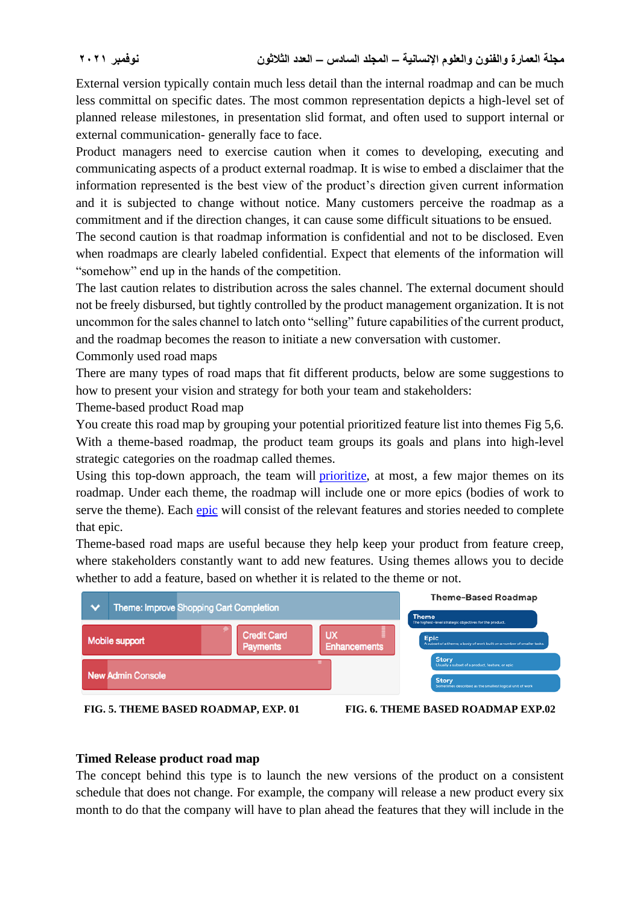External version typically contain much less detail than the internal roadmap and can be much less committal on specific dates. The most common representation depicts a high-level set of planned release milestones, in presentation slid format, and often used to support internal or external communication- generally face to face.

Product managers need to exercise caution when it comes to developing, executing and communicating aspects of a product external roadmap. It is wise to embed a disclaimer that the information represented is the best view of the product's direction given current information and it is subjected to change without notice. Many customers perceive the roadmap as a commitment and if the direction changes, it can cause some difficult situations to be ensued.

The second caution is that roadmap information is confidential and not to be disclosed. Even when roadmaps are clearly labeled confidential. Expect that elements of the information will "somehow" end up in the hands of the competition.

The last caution relates to distribution across the sales channel. The external document should not be freely disbursed, but tightly controlled by the product management organization. It is not uncommon for the sales channel to latch onto "selling" future capabilities of the current product, and the roadmap becomes the reason to initiate a new conversation with customer.

Commonly used road maps

There are many types of road maps that fit different products, below are some suggestions to how to present your vision and strategy for both your team and stakeholders:

Theme-based product Road map

You create this road map by grouping your potential prioritized feature list into themes Fig 5,6. With a theme-based roadmap, the product team groups its goals and plans into high-level strategic categories on the roadmap called themes.

Using this top-down approach, the team will [prioritize,](https://www.productplan.com/product-management-frameworks/) at most, a few major themes on its roadmap. Under each theme, the roadmap will include one or more epics (bodies of work to serve the theme). Each [epic](https://www.productplan.com/glossary/epic/) will consist of the relevant features and stories needed to complete that epic.

Theme-based road maps are useful because they help keep your product from feature creep, where stakeholders constantly want to add new features. Using themes allows you to decide whether to add a feature, based on whether it is related to the theme or not.



**FIG. 5. THEME BASED ROADMAP, EXP. 01 FIG. 6. THEME BASED ROADMAP EXP.02**



### **Timed Release product road map**

The concept behind this type is to launch the new versions of the product on a consistent schedule that does not change. For example, the company will release a new product every six month to do that the company will have to plan ahead the features that they will include in the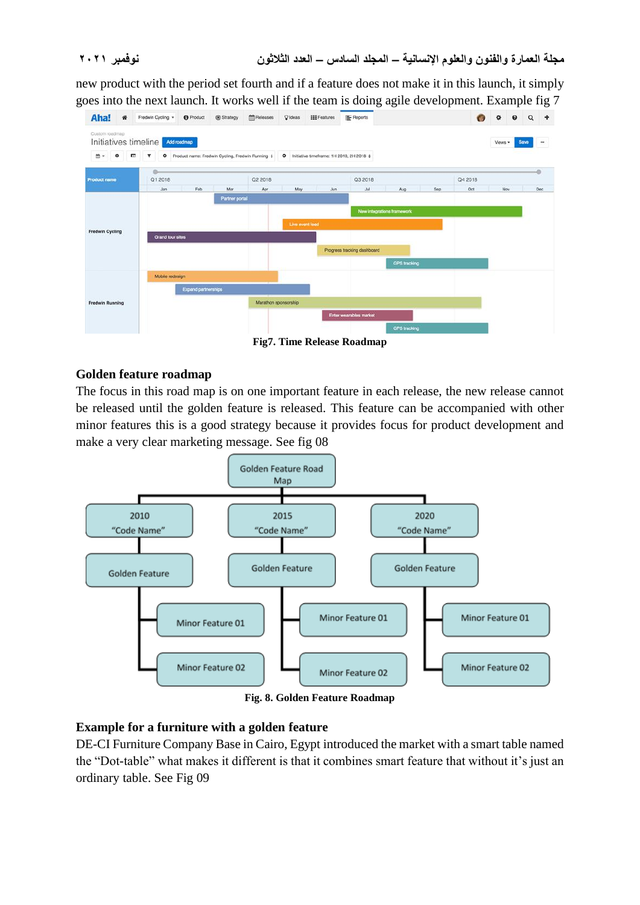new product with the period set fourth and if a feature does not make it in this launch, it simply goes into the next launch. It works well if the team is doing agile development. Example fig 7



**Fig7. Time Release Roadmap**

#### **Golden feature roadmap**

The focus in this road map is on one important feature in each release, the new release cannot be released until the golden feature is released. This feature can be accompanied with other minor features this is a good strategy because it provides focus for product development and make a very clear marketing message. See fig 08



**Fig. 8. Golden Feature Roadmap**

#### **Example for a furniture with a golden feature**

DE-CI Furniture Company Base in Cairo, Egypt introduced the market with a smart table named the "Dot-table" what makes it different is that it combines smart feature that without it's just an ordinary table. See Fig 09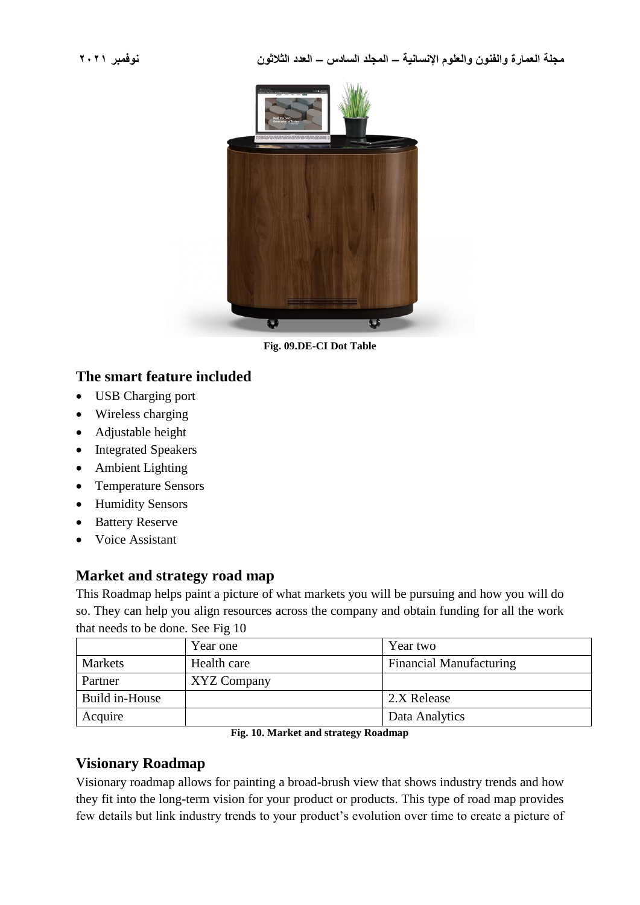

**Fig. 09.DE-CI Dot Table**

# **The smart feature included**

- USB Charging port
- Wireless charging
- Adjustable height
- Integrated Speakers
- Ambient Lighting
- Temperature Sensors
- Humidity Sensors
- Battery Reserve
- Voice Assistant

# **Market and strategy road map**

This Roadmap helps paint a picture of what markets you will be pursuing and how you will do so. They can help you align resources across the company and obtain funding for all the work that needs to be done. See Fig 10

|                | Year one           | Year two                       |
|----------------|--------------------|--------------------------------|
| <b>Markets</b> | Health care        | <b>Financial Manufacturing</b> |
| Partner        | <b>XYZ Company</b> |                                |
| Build in-House |                    | 2.X Release                    |
| Acquire        |                    | Data Analytics                 |

**Fig. 10. Market and strategy Roadmap**

# **Visionary Roadmap**

Visionary roadmap allows for painting a broad-brush view that shows industry trends and how they fit into the long-term vision for your product or products. This type of road map provides few details but link industry trends to your product's evolution over time to create a picture of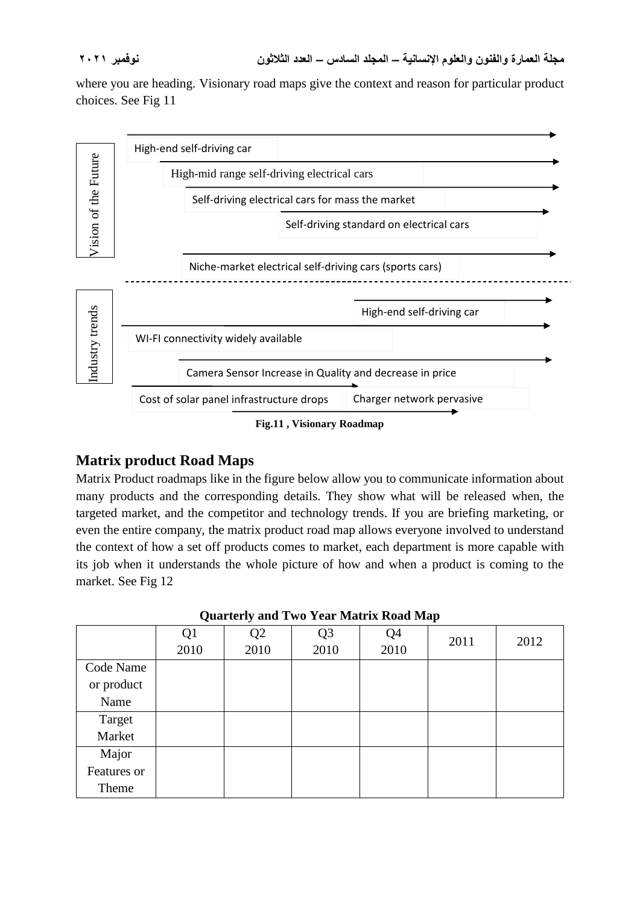where you are heading. Visionary road maps give the context and reason for particular product choices. See Fig 11



**Fig.11 , Visionary Roadmap**

# **Matrix product Road Maps**

Matrix Product roadmaps like in the figure below allow you to communicate information about many products and the corresponding details. They show what will be released when, the targeted market, and the competitor and technology trends. If you are briefing marketing, or even the entire company, the matrix product road map allows everyone involved to understand the context of how a set off products comes to market, each department is more capable with its job when it understands the whole picture of how and when a product is coming to the market. See Fig 12

|             | Q <sub>1</sub><br>2010 | Q2<br>2010 | Q <sub>3</sub><br>2010 | Q <sub>4</sub><br>2010 | 2011 | 2012 |
|-------------|------------------------|------------|------------------------|------------------------|------|------|
| Code Name   |                        |            |                        |                        |      |      |
| or product  |                        |            |                        |                        |      |      |
| Name        |                        |            |                        |                        |      |      |
| Target      |                        |            |                        |                        |      |      |
| Market      |                        |            |                        |                        |      |      |
| Major       |                        |            |                        |                        |      |      |
| Features or |                        |            |                        |                        |      |      |
| Theme       |                        |            |                        |                        |      |      |

| <b>Quarterly and Two Year Matrix Road Map</b> |
|-----------------------------------------------|
|-----------------------------------------------|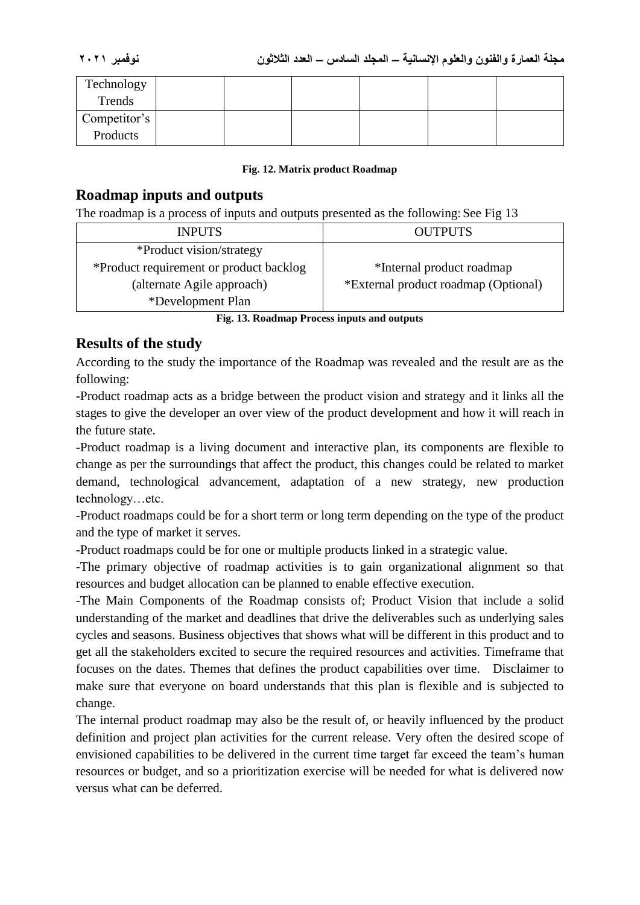| Technology<br>Trends     |  |  |  |
|--------------------------|--|--|--|
| Competitor's<br>Products |  |  |  |

#### **Fig. 12. Matrix product Roadmap**

## **Roadmap inputs and outputs**

The roadmap is a process of inputs and outputs presented as the following: See Fig 13

| <b>INPUTS</b>                           | <b>OUTPUTS</b>                       |
|-----------------------------------------|--------------------------------------|
| *Product vision/strategy                |                                      |
| *Product requirement or product backlog | *Internal product roadmap            |
| (alternate Agile approach)              | *External product roadmap (Optional) |
| *Development Plan                       |                                      |

**Fig. 13. Roadmap Process inputs and outputs**

# **Results of the study**

According to the study the importance of the Roadmap was revealed and the result are as the following:

-Product roadmap acts as a bridge between the product vision and strategy and it links all the stages to give the developer an over view of the product development and how it will reach in the future state.

-Product roadmap is a living document and interactive plan, its components are flexible to change as per the surroundings that affect the product, this changes could be related to market demand, technological advancement, adaptation of a new strategy, new production technology…etc.

-Product roadmaps could be for a short term or long term depending on the type of the product and the type of market it serves.

-Product roadmaps could be for one or multiple products linked in a strategic value.

-The primary objective of roadmap activities is to gain organizational alignment so that resources and budget allocation can be planned to enable effective execution.

-The Main Components of the Roadmap consists of; Product Vision that include a solid understanding of the market and deadlines that drive the deliverables such as underlying sales cycles and seasons. Business objectives that shows what will be different in this product and to get all the stakeholders excited to secure the required resources and activities. Timeframe that focuses on the dates. Themes that defines the product capabilities over time. Disclaimer to make sure that everyone on board understands that this plan is flexible and is subjected to change.

The internal product roadmap may also be the result of, or heavily influenced by the product definition and project plan activities for the current release. Very often the desired scope of envisioned capabilities to be delivered in the current time target far exceed the team's human resources or budget, and so a prioritization exercise will be needed for what is delivered now versus what can be deferred.